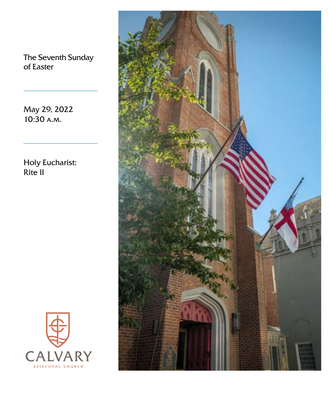The Seventh Sunday of Easter

May 29, 2022 10:30 a.m.

Holy Eucharist: Rite II



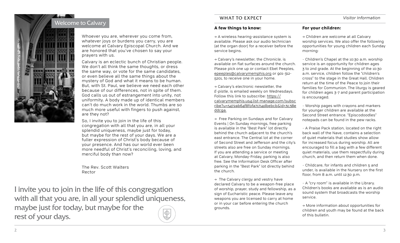

# Welcome to Calvary

Whoever you are, wherever you come from, whatever joys or burdens you carry, you are welcome at Calvary Episcopal Church. And we are honored that you've chosen to say your prayers with us.

Calvary is an eclectic bunch of Christian people. We don't all think the same thoughts, or dress the same way, or vote for the same candidates, or even believe all the same things about the mystery of God and what it means to be human. But, with St. Paul, we believe we need each other because of our differences, not in spite of them. God calls us out of estrangement into unity, not uniformity. A body made up of identical members can't do much work in the world. Thumbs are so much more useful with fingers to push against, are they not?

So, I invite you to join in the life of this congregation with all that you are, in all your splendid uniqueness, maybe just for today, but maybe for the rest of your days. We are a fuller expression of Christ's body because of your presence. And has our world ever been more needful of Christ's reconciling, loving, and merciful body than now?

The Rev. Scott Walters Rector

I invite you to join in the life of this congregation with all that you are, in all your splendid uniqueness, maybe just for today, but maybe for the rest of your days.

#### **A few things to know:**

→ A wireless hearing-assistance system is available. Please ask our audio technician (at the organ door) for a receiver before the service begins.

→ Calvary's newsletter, the *Chronicle*, is available on flat surfaces around the church. Please pick one up or contact Ebet Peeples, epeeples@calvarymemphis.org or 901-312- 5201, to receive one in your home.

→ Calvary's electronic newsletter, the *E-pistle*, is emailed weekly on Wednesdays. Follow this link to subscribe: https:// calvarymemphis.us4.list-manage.com/subsc ribe?u=5472ab64f8f0fa71714dbebcb&id=3c38e ddcga.

→ Free Parking on Sundays and for Calvary Events | On Sunday mornings, free parking is available in the "Best Park" lot directly behind the church adjacent to the church's east entrance. The Central lot at the corner of Second Street and Jefferson and the city's streets also are free on Sunday mornings. If you are attending a service or meeting at Calvary, Monday-Friday, parking is also free. See the Information Desk Officer after parking in the "Best Park" lot directly behind the church.

 $\rightarrow$  The Calvary clergy and vestry have declared Calvary to be a weapon-free place of worship, prayer, study and fellowship, as a sign of Eucharistic peace. Please leave any weapons you are licensed to carry at home or in your car before entering the church grounds.

# **For your children:**

→ Children are welcome at all Calvary worship services. We also offer the following opportunities for young children each Sunday morning:

• Children's Chapel at the 10:30 a.m. worship service is an opportunity for children ages 3 to 2nd grade. At the beginning of the 10:30 a.m. service, children follow the "children's cross" to the stage in the Great Hall. Children return at the time of the Peace to join their families for Communion. The liturgy is geared for children ages 3-7 and parent participation is encouraged.

• Worship pages with crayons and markers for younger children are available at the Second Street entrance. "Episcodoodles" notepads can be found in the pew racks.

• A Praise Pack station, located on the right back wall of the Nave, contains a selection of quiet materials that studies show allow for increased focus during worship. All are encouraged to fill a bag with a few different quiet materials, use them respectfully during church, and then return them when done.

• Childcare, for infants and children 5 and under, is available in the Nursery on the first floor, from 8 a.m. until 12:30 p.m.

• A "cry room" is available in the Library. Children's books are available as is an audio sound system that broadcasts the worship service.

→ More information about opportunities for children and youth may be found at the back of this bulletin.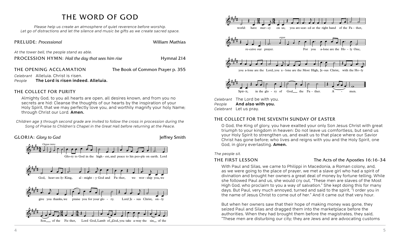# THE WORD OF GOD

*Please help us create an atmosphere of quiet reverence before worship. Let go of distractions and let the silence and music be gifts as we create sacred space.*

PRELUDE: *Processional* William Mathias *At the tower bell, the people stand as able.*  PROCESSION HYMN: *Hail the day that sees him rise* **Hymnal 214** 

THE OPENING ACCLAMATION The Book of Common Prayer p. 355

*Celebrant* Alleluia. Christ is risen. *People* The Lord is risen indeed. Alleluia.

# THE COLLECT FOR PURITY

Almighty God, to you all hearts are open, all desires known, and from you no secrets are hid: Cleanse the thoughts of our hearts by the inspiration of your Holy Spirit, that we may perfectly love you, and worthily magnify your holy Name; through Christ our Lord. Amen.

*Children age 3 through second grade are invited to follow the cross in procession during the Song of Praise to Children's Chapel in the Great Hall before returning at the Peace.*





*People* And also with you. *Celebrant* Let us pray.

# THE COLLECT FOR THE SEVENTH SUNDAY OF EASTER

O God, the King of glory, you have exalted your only Son Jesus Christ with great triumph to your kingdom in heaven: Do not leave us comfortless, but send us your Holy Spirit to strengthen us, and exalt us to that place where our Savior Christ has gone before; who lives and reigns with you and the Holy Spirit, one God, in glory everlasting. **Amen.** 

*The people sit.*

# THE FIRST LESSON The Acts of the Apostles 16:16-34

With Paul and Silas, we came to Philippi in Macedonia, a Roman colony, and, as we were going to the place of prayer, we met a slave girl who had a spirit of divination and brought her owners a great deal of money by fortune-telling. While she followed Paul and us, she would cry out, "These men are slaves of the Most High God, who proclaim to you a way of salvation." She kept doing this for many days. But Paul, very much annoyed, turned and said to the spirit, "I order you in the name of Jesus Christ to come out of her." And it came out that very hour.

But when her owners saw that their hope of making money was gone, they seized Paul and Silas and dragged them into the marketplace before the authorities. When they had brought them before the magistrates, they said, "These men are disturbing our city; they are Jews and are advocating customs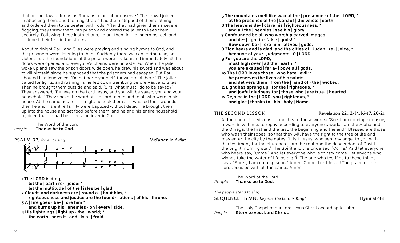that are not lawful for us as Romans to adopt or observe." The crowd joined in attacking them, and the magistrates had them stripped of their clothing and ordered them to be beaten with rods. After they had given them a severe flogging, they threw them into prison and ordered the jailer to keep them securely. Following these instructions, he put them in the innermost cell and fastened their feet in the stocks.

About midnight Paul and Silas were praying and singing hymns to God, and the prisoners were listening to them. Suddenly there was an earthquake, so violent that the foundations of the prison were shaken; and immediately all the doors were opened and everyone's chains were unfastened. When the jailer woke up and saw the prison doors wide open, he drew his sword and was about to kill himself, since he supposed that the prisoners had escaped. But Paul shouted in a loud voice, "Do not harm yourself, for we are all here." The jailer called for lights, and rushing in, he fell down trembling before Paul and Silas. Then he brought them outside and said, "Sirs, what must I do to be saved?" They answered, "Believe on the Lord Jesus, and you will be saved, you and your household." They spoke the word of the Lord to him and to all who were in his house. At the same hour of the night he took them and washed their wounds; then he and his entire family were baptized without delay. He brought them up into the house and set food before them; and he and his entire household rejoiced that he had become a believer in God.

#### The Word of the Lord. *People* Thanks be to God.



- and burns up his  $|$  enemies  $\cdot$  on  $|$  every  $|$  side.
- 4 His lightnings | light up · the | world; \* the earth  $\sqrt{\frac{1}{1}}$  sees it  $\cdot$  and  $\sqrt{\frac{1}{1}}$  is a  $\sqrt{\frac{1}{1}}$  fraid.

5 The mountains melt like wax at the | presence · of the | LORD, \* at the presence of the | Lord of | the whole | earth. 6 The heavens de- | clare his | righteousness, \* and all the | peoples | see his | glory. 7 Confounded be all who worship carved images and de- | light in · false | gods! \* Bow down be-  $|$  fore him  $|$  all you  $|$  gods. 8 Zion hears and is glad, and the cities of | Judah · re- | joice, \* because of your | judgments | O | LORD. 9 For you are the LORD, most high over | all the | earth; \* you are exalted | far a- | bove all | gods. 10 The LORD loves those | who hate | evil; \* he preserves the lives of his saints and delivers them | from the | hand of  $\cdot$  the | wicked. 11 Light has sprung up | for the | righteous, \* and joyful gladness for | those who | are true- | hearted. 12 Rejoice in the | LORD, you | righteous, \* and give | thanks to · his | holy | Name.

# THE SECOND LESSON Revelation 22:12-14,16-17, 20-21

At the end of the visions I, John, heard these words: "See, I am coming soon; my reward is with me, to repay according to everyone's work. I am the Alpha and the Omega, the first and the last, the beginning and the end." Blessed are those who wash their robes, so that they will have the right to the tree of life and may enter the city by the gates. "It is I, Jesus, who sent my angel to you with this testimony for the churches. I am the root and the descendant of David, the bright morning star." The Spirit and the bride say, "Come." And let everyone who hears say, "Come." And let everyone who is thirsty come. Let anyone who wishes take the water of life as a gift. The one who testifies to these things says, "Surely I am coming soon." Amen. Come, Lord Jesus! The grace of the Lord Jesus be with all the saints. Amen.

 The Word of the Lord. *People* Thanks be to God.

# *The people stand to sing.*

SEQUENCE HYMN: *Rejoice, the Lord is King!* **Hymnal 481 Hymnal 481** 

 The Holy Gospel of our Lord Jesus Christ according to John. *People* Glory to you, Lord Christ.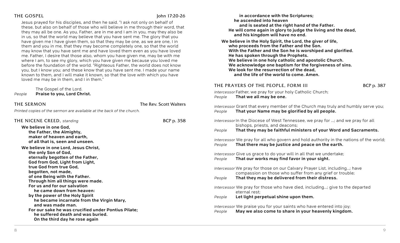# THE GOSPEL John 17:20-26

Jesus prayed for his disciples, and then he said. "I ask not only on behalf of these, but also on behalf of those who will believe in me through their word, that they may all be one. As you, Father, are in me and I am in you, may they also be in us, so that the world may believe that you have sent me. The glory that you have given me I have given them, so that they may be one, as we are one, I in them and you in me, that they may become completely one, so that the world may know that you have sent me and have loved them even as you have loved me. Father, I desire that those also, whom you have given me, may be with me where I am, to see my glory, which you have given me because you loved me before the foundation of the world. "Righteous Father, the world does not know you, but I know you; and these know that you have sent me. I made your name known to them, and I will make it known, so that the love with which you have loved me may be in them, and I in them."

 The Gospel of the Lord. *People* Praise to you, Lord Christ.

# THE SERMON THE SERMON *Printed copies of the sermon are available at the back of the church.* THE NICENE CREED, *standing* **BCP** p. 358 We believe in one God, the Father, the Almighty, maker of heaven and earth, of all that is, seen and unseen. We believe in one Lord, Jesus Christ, the only Son of God, eternally begotten of the Father, God from God, Light from Light, true God from true God, begotten, not made, of one Being with the Father. Through him all things were made. For us and for our salvation he came down from heaven: by the power of the Holy Spirit he became incarnate from the Virgin Mary,

 and was made man. For our sake he was crucified under Pontius Pilate; he suffered death and was buried. On the third day he rose again

 in accordance with the Scriptures; he ascended into heaven and is seated at the right hand of the Father. He will come again in glory to judge the living and the dead, and his kingdom will have no end.

We believe in the Holy Spirit, the Lord, the giver of life, who proceeds from the Father and the Son. With the Father and the Son he is worshiped and glorified. He has spoken through the Prophets. We believe in one holy catholic and apostolic Church. We acknowledge one baptism for the forgiveness of sins. We look for the resurrection of the dead. and the life of the world to come. Amen.

THE PRAYERS OF THE PEOPLE, FORM III BCP p. 387

*Intercessor* Father, we pray for your holy Catholic Church; *People* That we all may be one.

*Intercessor* Grant that every member of the Church may truly and humbly serve you; *People* That your Name may be glorified by all people.

*Intercessor* In the Diocese of West Tennessee, we pray for ...; and we pray for all

| People | <i>intercessor</i> in the Diocese of West Tennessee, we pray for …; and we pray for all<br>bishops, priests, and deacons;<br>That they may be faithful ministers of your Word and Sacraments. |
|--------|-----------------------------------------------------------------------------------------------------------------------------------------------------------------------------------------------|
| People | Intercessor We pray for all who govern and hold authority in the nations of the world;<br>That there may be justice and peace on the earth.                                                   |
| People | Intercessor Give us grace to do your will in all that we undertake;<br>That our works may find favor in your sight.                                                                           |
| People | Intercessor We pray for those on our Calvary Prayer List, including; have<br>compassion on those who suffer from any grief or trouble;<br>That they may be delivered from their distress.     |
| People | Intercessor We pray for those who have died, including; give to the departed<br>eternal rest;<br>Let light perpetual shine upon them.                                                         |
| People | Intercessor We praise you for your saints who have entered into joy;<br>May we also come to share in your heavenly kingdom.                                                                   |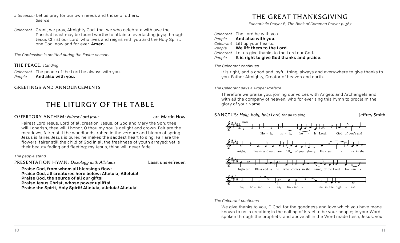*Celebrant* Grant, we pray, Almighty God, that we who celebrate with awe the Paschal feast may be found worthy to attain to everlasting joys; through Jesus Christ our Lord, who lives and reigns with you and the Holy Spirit, one God, now and for ever. Amen.

*The Confession is omitted during the Easter season.*

# THE PEACE, *standing*

*Celebrant* The peace of the Lord be always with you. *People* And also with you.

# GREETINGS AND ANNOUNCEMENTS

# THE LITURGY OF THE TABLE

# OFFERTORY ANTHEM: *Fairest Lord Jesus* arr. Martin How

Fairest Lord Jesus, Lord of all creation, Jesus, of God and Mary the Son; thee will I cherish, thee will I honor, O thou my soul's delight and crown. Fair are the meadows, fairer still the woodlands, robed in the verdure and bloom of spring. Jesus is fairer, Jesus is purer, he makes the saddest heart to sing. Fair are the flowers, fairer still the child of God in all the freshness of youth arrayed: yet is their beauty fading and fleeting; my Jesus, thine will never fade.

# *The people stand.*

PRESENTATION HYMN: *Doxology with Alleluias* Lasst uns erfreuen

Praise God, from whom all blessings flow; Praise God, all creatures here below: Alleluia, Alleluia! Praise God, the source of all our gifts! Praise Jesus Christ, whose power uplifts! Praise the Spirit, Holy Spirit! Alleluia, alleluia! Alleluia!

# THE GREAT THANKSGIVING

*Eucharistic Prayer B, The Book of Common Prayer p. 367*

| Celebrant The Lord be with you.                   |
|---------------------------------------------------|
| People And also with you.                         |
| Celebrant Lift up your hearts.                    |
| People We lift them to the Lord.                  |
| Celebrant Let us give thanks to the Lord our God. |
| People It is right to give God thanks and praise. |

### *The Celebrant continues*

It is right, and a good and joyful thing, always and everywhere to give thanks to you, Father Almighty, Creator of heaven and earth.

# *The Celebrant says a Proper Preface*

Therefore we praise you, joining our voices with Angels and Archangels and with all the company of heaven, who for ever sing this hymn to proclaim the glory of your Name:



#### *The Celebrant continues*

We give thanks to you, O God, for the goodness and love which you have made known to us in creation; in the calling of Israel to be your people; in your Word spoken through the prophets; and above all in the Word made flesh, Jesus, your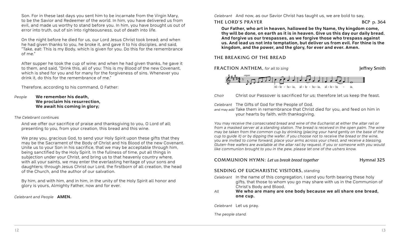Son. For in these last days you sent him to be incarnate from the Virgin Mary, to be the Savior and Redeemer of the world. In him, you have delivered us from evil, and made us worthy to stand before you. In him, you have brought us out of error into truth, out of sin into righteousness, out of death into life.

On the night before he died for us, our Lord Jesus Christ took bread; and when he had given thanks to you, he broke it, and gave it to his disciples, and said, "Take, eat: This is my Body, which is given for you. Do this for the remembrance of me."

After supper he took the cup of wine; and when he had given thanks, he gave it to them, and said, "Drink this, all of you: This is my Blood of the new Covenant, which is shed for you and for many for the forgiveness of sins. Whenever you drink it, do this for the remembrance of me."

Therefore, according to his command, O Father:

### *People* We remember his death, We proclaim his resurrection, We await his coming in glory;

#### *The Celebrant continues*

And we offer our sacrifice of praise and thanksgiving to you, O Lord of all; presenting to you, from your creation, this bread and this wine.

We pray you, gracious God, to send your Holy Spirit upon these gifts that they may be the Sacrament of the Body of Christ and his Blood of the new Covenant. Unite us to your Son in his sacrifice, that we may be acceptable through him, being sanctified by the Holy Spirit. In the fullness of time, put all things in subjection under your Christ, and bring us to that heavenly country where, with all your saints, we may enter the everlasting heritage of your sons and daughters; through Jesus Christ our Lord, the firstborn of all creation, the head of the Church, and the author of our salvation.

By him, and with him, and in him, in the unity of the Holy Spirit all honor and glory is yours, Almighty Father, now and for ever.

*Celebrant and People* AMEN.

*Celebrant* And now, as our Savior Christ has taught us, we are bold to say, THE LORD'S PRAYER **BCP** p. 364

Our Father, who art in heaven, hallowed be thy Name, thy kingdom come, thy will be done, on earth as it is in heaven. Give us this day our daily bread. And forgive us our trespasses, as we forgive those who trespass against us. And lead us not into temptation, but deliver us from evil. For thine is the kingdom, and the power, and the glory, for ever and ever. Amen.

# THE BREAKING OF THE BREAD

FRACTION ANTHEM, *for all to sing* **Jeffrey Smith** *Jeffrey Smith* 



*Choir* Christ our Passover is sacrificed for us; therefore let us keep the feast.

*Celebrant* The Gifts of God for the People of God.

*and may add* Take them in remembrance that Christ died for you, and feed on him in your hearts by faith, with thanksgiving.

*You may receive the consecrated bread and wine of the Eucharist at either the altar rail or from a masked server at a standing station. The bread is received in the open palm. The wine may be taken from the common cup by drinking (placing your hand gently on the base of the cup to guide it) or by dipping the wafer. If you choose not to receive the bread or the wine, you are invited to come forward, place your arms across your chest, and receive a blessing. Gluten-free wafers are available at the altar rail by request. If you or someone with you would*  like communion brought to you in the pew, please let one of the ushers know.

COMMUNION HYMN: Let us break bread together **Hymnal 325** 

### SENDING OF EUCHARISTIC VISITORS, *standing*

*Celebrant* In the name of this congregation, I send you forth bearing these holy gifts, that those to whom you go may share with us in the Communion of Christ's Body and Blood.

*All* We who are many are one body because we all share one bread, one cup.

*Celebrant* Let us pray.

*The people stand.*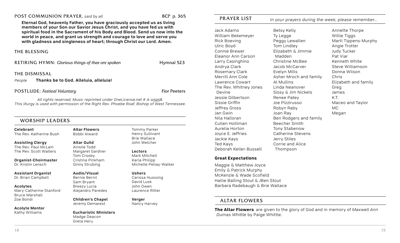#### POST COMMUNION PRAYER, *said by all* **BCP p. 365**

Eternal God, heavenly Father, you have graciously accepted us as living members of your Son our Savior Jesus Christ, and you have fed us with spiritual food in the Sacrament of his Body and Blood. Send us now into the world in peace, and grant us strength and courage to love and serve you with gladness and singleness of heart; through Christ our Lord. Amen.

#### THE BLESSING

RETIRING HYMN: *Glorious things of thee are spoken* **Hymnal 523** 

#### THE DISMISSAL

*People* Thanks be to God. Alleluia, alleluia!

#### POSTLUDE: *Festival Voluntary* extending the state of the state of the Peeters of the Peeters

*All rights reserved. Music reprinted under OneLicense.net # A-115958. This liturgy is used with permission of the Right Rev. Phoebe Roaf, Bishop of West Tennessee.*

### WORSHIP LEADERS

Celebrant The Rev. Katherine Bush

#### Assisting Clergy The Rev. Paul McLain

The Rev. Scott Walters

Organist-Choirmaster Dr. Kristin Lensch

# Assistant Organist

Dr. Brian Campbell

#### Acolytes Mary-Catherine Stanford Bruce Marshall Zoe Bondi

Acolyte Mentor Kathy Williams

Bobbi Alward Altar Guild Ainslie Todd

Altar Flowers

Margaret Gardner Tom Crosby Cristina Pinkham Ginny Strubing

#### Audio/Visual Bernie Bernil Sam Bryant Breezy Lucia Alejandro Paredes

Children's Chapel Jeremy Demarest

#### Eucharistic Ministers Madge Deacon Greta Heru

Tommy Parker Henry Sullivant Brie Wallace John Welcher

#### Lectors Mark Mitchell Karla Philipp Michelle Pellay-Walker

## Ushers Carissa Hussong David Lusk

John Owen Laurence Ritter

Verger Nancy Harvey

PRAYER LIST *In your prayers during the week, please remember...* 

Jack Adamo William Bekemeyer Rick Boeving Ulric Boyd Connie Brewer Eleanor Ann Carson Larry Casinghino Andrya Clark Rosemary Clark Merrill Ann Cole Lawrence Cowart The Rev. Whitney Jones Devine Jessie Gilbertson Sissie Griffin Jeffrey Gross Jan Gwin Nila Halloran Cullen Holliman Aurelia Horton Joyce E. Jeffries Jackie Kays Ted Kays Deborah Keller-Bussell

Betsy Kelly Ty Legge Peggy Lewallen Tom Lindley Elizabeth & Jimmie Madden Christine McBee Jacob McCarver Evelyn Mills Asher Mroch and family Al Mullins Linda Neanover Sissy & Jim Nickels Renee Patey Joe Pizzirusso Robyn Raby Joan Ray Ben Rodgers and family Beecher Smith Tony Stabenow Catherine Stevens Jerry Stiles Corrie and Alice

Annette Thorpe Willie Tiggs Marti Tippens-Murphy Angie Trotter Judy Tucker Pat Viar Kenneth White Steve Williamson Donna Wilson Chris Elizabeth and family Greg James K.T. Maceo and Taylor MC Megan

#### **Great Expectations**

Maggie & Matthew Joyce Emily & Patrick Murphy McKenzie & Wade Scofield Hallie Balling Stout & JBen Stout Barbara Radebaugh & Brie Wallace

# ALTAR FLOWERS

**The Altar Flowers** are given to the glory of God and in memory of *Maxwell Ann Dumas Whittle* by Paige Whittle.

Thompson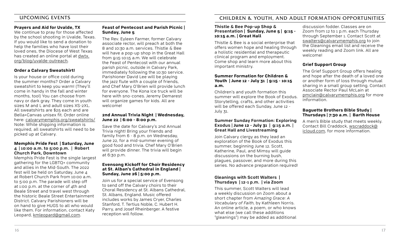# UPCOMING EVENTS

#### **Prayers and Aid for Uvalde, TX**

We continue to pray for those affected by the school shooting in Uvalde, Texas. If you would like to send a donation to help the families who have lost their loved ones, the Diocese of West Texas has created an online portal at dwtx. org/blog/uvalde-outreach.

#### **Order a Calvary Sweatshirt!**

Is your house or office cold during the summer months? Order a Calvary sweatshirt to keep you warm! (They'll come in handy in the fall and winter months, too!) You can choose from navy or dark gray. They come in youth sizes M and L and adult sizes XS-2XL. All sweatshirts are \$25 each and are Bella+Canvas unisex fit. Order online here: calvarymemphis.org/sweatshirts/ Note: While shipping information is required, all sweatshirts will need to be picked up at Calvary.

#### **Memphis Pride Fest | Saturday, June**  4 | 10:00 a.m. to 5:00 p.m. | Robert Church Park, Downtown

Memphis Pride Fest is the single largest gathering for the LGBTQ+ community and allies in the Mid-South. The 2022 fest will be held on Saturday, June 4 at Robert Church Park from 10:00 a.m. to 5:00 p.m. The parade will step off at 1:00 p.m. at the corner of 4th and Beale Street and travel west through the historic Beale Street Entertainment District. Calvary Parishioners will be on hand to give HUGS to all who would like them. For information, contact Katy Leopard, kmleopard@gmail.com.

### **Feast of Pentecost and Parish Picnic | Sunday, June 5**

The Rev. Eyleen Farmer, former Calvary associate rector, will preach at both the 8 and 10:30 a.m. services. Thistle & Bee will have a pop-up shop in the Great Hall from 9:15-10:15 a.m. We will celebrate the Feast of Pentecost with our annual parish picnic, outside in Calvary Park, immediately following the 10:30 service. Parishioner David Lee will be playing the jazz flute with a couple of friends, and Chef Mary O'Brien will provide lunch for everyone. The Kona Ice truck will be here with sno-cones. Jeremy Demarest will organize games for kids. All are welcome!

### **2nd Annual Trivia Night | Wednesday, June 22 | 6:00 - 8:00 p.m.**

Save the date for Calvary's 2nd Annual Trivia night! Bring your friends and family from 6 - 8 p.m. on Wednesday, June 22, for a mid-summer evening of good food and trivia. Chef Mary O'Brien will provide dinner. The trivia will begin at 6:30 p.m.

#### **Evensong Kickoff for Choir Residency at St. Alban's Cathedral in England | Sunday, June 26 | 5:00 p.m.**

Join us for a special service of Evensong to send off the Calvary choirs to their Choral Residency at St. Albans Cathedral, St. Albans, England. Music offered includes works by James Cryer, Charles Stanford, T. Tertius Noble, C. Hubert H. Parry, and Josef Rheinberger. A festive reception will follow.

# CHILDREN & YOUTH, AND ADULT FORMATION OPPORTUNITIES

#### Thistle & Bee Pop-up Shop & Presentation **| Sunday, June 5 | 9:15 - 10:15 a.m. | Great Hall**

Thistle & Bee is a social enterprise that offers women hope and healing through a holistic residential and therapeutic clinical program and employment. Come shop and learn more about this important ministry.

# **Summer Formation for Children & Youth | June 12 - July 31 | 9:15 - 10:15 a.m.**

Children's and youth formation this summer will explore the Book of Exodus. Storytelling, crafts, and other activities will be offered each Sunday, June 12 - July 31.

#### Summer Sunday Formation: Exploring Exodus | **June 12 - July 31 |** 9:15 a.m. | Great Hall and Livestreaming

Join Calvary clergy as they lead an exploration of the Book of Exodus this summer, beginning June 12. Scott, Katherine, Paul, and Mimsy will guide discussions on the burning bush, plagues, passover, and more during this series. No advance preparation required!

### Gleanings with Scott Walters **|**  Thursdays **|** 12-1 p.m. **|** via Zoom

This summer, Scott Walters will lead a weekly discussion on Zoom about a short chapter from *Amazing Grace: A Vocabulary of Faith*, by Kathleen Norris. An online article, a poem, or who knows what else (we call these additions "gleanings") may be added as additional

discussion fodder. Classes are on Zoom from 12 to 1 p.m. each Thursday through September 1. Contact Scott at swalters@calvarymemphis.org to join the Gleanings email list and receive the weekly reading and Zoom link. All are welcome!

#### **Grief Support Group**

The Grief Support Group offers healing and hope after the death of a loved one or another form of loss through mutual sharing in a small group setting. Contact Associate Rector Paul McLain at pmclain@calvarymemphis.org for more information.

#### **Baguette Brothers Bible Study | Thursdays | 7:30 a.m. | Barth House**

A men's Bible study that meets weekly. Contact Bill Craddock, wscraddock@ icloud.com, for more information.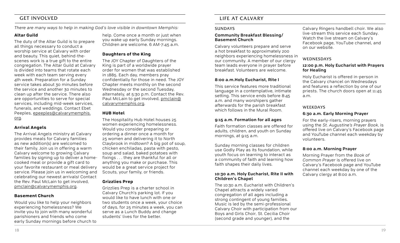# GET INVOLVED

*There are many ways to help in making God's love visible in downtown Memphis:*

# **Altar Guild**

The duty of the Altar Guild is to prepare all things necessary to conduct a worship service at Calvary with order and beauty. This quiet, behind-thescenes work is a true gift to the entire congregation. The Altar Guild at Calvary is divided into teams that rotate each week with each team serving every 4th week. Preparation for a Sunday service takes about 30 minutes before the service and another 30 minutes to clean up after the service. There also are opportunities to serve for special services, including mid-week services, funerals, and weddings. Contact Ebet Peeples, epeeples@calvarymemphis. org.

# **Arrival Angels**

The Arrival Angels ministry at Calvary provides meals for Calvary families as new addition(s) are welcomed to their family. Join us in offering a warm Calvary welcome to growing Calvary families by signing up to deliver a homecooked meal or provide a gift card to your favorite restaurant or meal delivery service. Please join us in welcoming and celebrating our newest arrivals! Contact the Rev. Paul McLain to get involved, pmclain@calvarymemphis.org.

# **Basement Church**

Would you like to help your neighbors experiencing homelessness? We invite you to join with many wonderful parishioners and friends who come early Sunday mornings before church to

help. Come once a month or just when you wake up early Sunday mornings. Children are welcome. 6 AM-7:45 a.m.

# **Daughters of the King**

The JOY Chapter of Daughters of the King is part of a worldwide prayer order for women that was established in 1885. Each day, members pray confidentially for those in need. The JOY Chapter meets monthly on the second Wednesday or the second Tuesday, alternately, at 5:30 p.m. Contact the Rev. Paul McLain to get involved, pmclain@ calvarymemphis.org.

# **HUB Hotel**

The Hospitality Hub Hotel houses 25 women experiencing homelessness. Would you consider preparing or ordering a dinner once a month for 25 women and delivering it to North Claybrook in midtown? A big pot of soup, chicken enchiladas, pasta with pesto, soup and salad, baked potatoes with fixings . . . they are thankful for all or anything you make or purchase. This would be a great service project for Scouts, your family, or friends.

# **Grizzlies Prep**

Grizzlies Prep is a charter school in Calvary Church's parking lot. If you would like to have lunch with one or two students once a week, your choice of days, for 25 minutes a week, you can serve as a Lunch Buddy and change students' lives for the better.

# LIFE AT CALVARY

### **SUNDAYS**

## Community Breakfast Blessing/ Basement Church

Calvary volunteers prepare and serve a hot breakfast to approximately 200 neighbors experiencing homelessness in our community. A member of our clergy team leads everyone in prayer before breakfast. Volunteers are welcome.

# 8:00 a.m.Holy Eucharist, Rite I

This service features more traditional language in a contemplative, intimate setting. This service ends before 8:45 a.m. and many worshipers gather afterwards for the parish breakfast which follows in the Mural Room.

# 9:15 a.m. Formation for all ages

Faith formation classes are offered for adults, children, and youth on Sunday mornings, at 9:15 a.m.

Sunday morning classes for children use Godly Play as its foundation, while youth focus on learning to interact as a community of faith and learning how faith shapes their daily lives.

### 10:30 a.m. Holy Eucharist, Rite II with Children's Chapel

The 10:30 a.m. Eucharist with Children's Chapel attracts a widely varied congregation of all ages including a strong contingent of young families. Music is led by the semi-professional Calvary Choir with participation from our Boys and Girls Choir, St. Cecilia Choir (second grade and younger), and the

Calvary Ringers handbell choir. We also live-stream this service each Sunday. Watch the live stream on Calvary's Facebook page, YouTube channel, and on our website.

# WEDNESDAYS

## 12:00 p.m. Holy Eucharist with Prayers for Healing

Holy Eucharist is offered in-person in the Calvary chancel on Wednesdays and features a reflection by one of our priests. The church doors open at 11:45 a.m.

# WEEKDAYS

# 6:30 a.m. Early Morning Prayer

For the early-risers, morning prayers using the *St. Augustine's Prayer Book*, is offered live on Calvary's Facebook page and YouTube channel each weekday by volunteers.

# 8:00 a.m. Morning Prayer

Morning Prayer from the *Book of Common Prayer* is offered live on Calvary's Facebook page and YouTube channel each weekday by one of the Calvary clergy at 8:00 a.m.